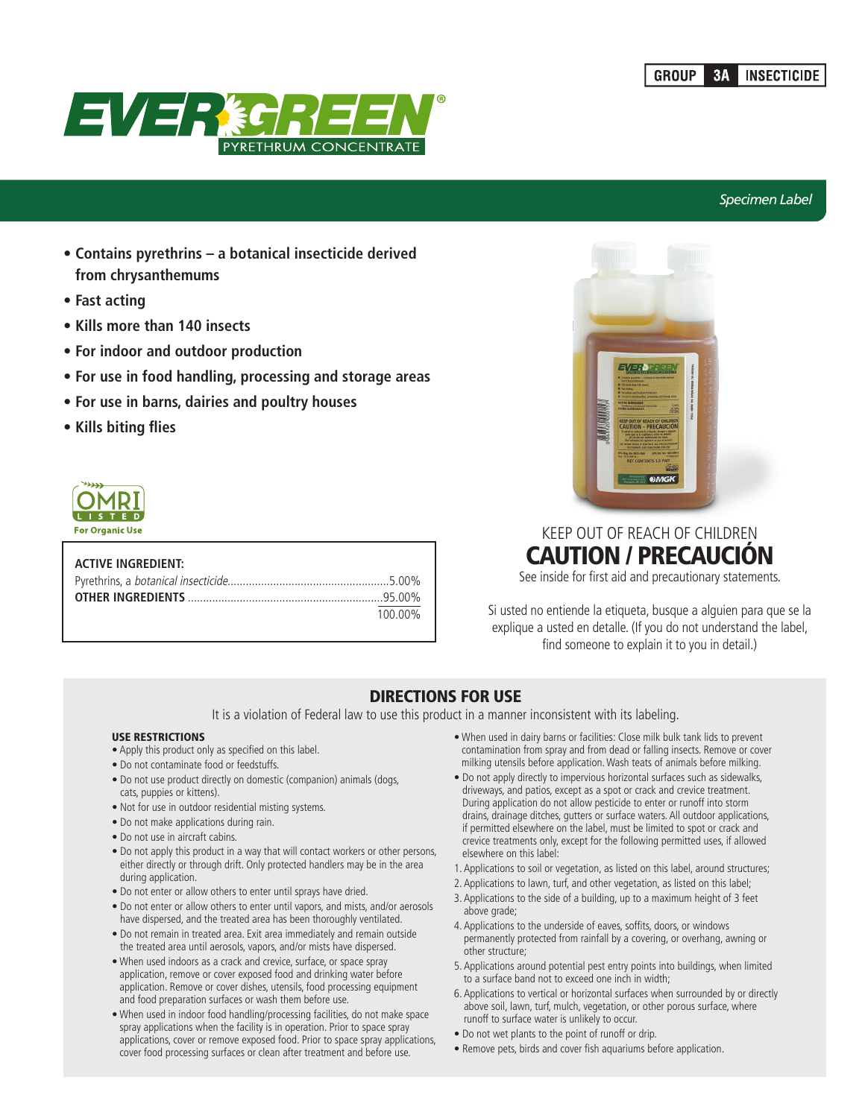

# *Specimen Label*

- **Contains pyrethrins a botanical insecticide derived from chrysanthemums**
- **Fast acting**
- **Kills more than 140 insects**
- **For indoor and outdoor production**
- **For use in food handling, processing and storage areas**
- **For use in barns, dairies and poultry houses**
- **Kills biting flies**



| <b>ACTIVE INGREDIENT:</b> |         |
|---------------------------|---------|
|                           |         |
|                           |         |
|                           | 100.00% |



# KEEP OUT OF REACH OF CHILDREN CAUTION / PRECAUCIÓN

See inside for first aid and precautionary statements.

Si usted no entiende la etiqueta, busque a alguien para que se la explique a usted en detalle. (If you do not understand the label, find someone to explain it to you in detail.)

# DIRECTIONS FOR USE

It is a violation of Federal law to use this product in a manner inconsistent with its labeling.

# USE RESTRICTIONS

- Apply this product only as specified on this label.
- Do not contaminate food or feedstuffs.
- Do not use product directly on domestic (companion) animals (dogs, cats, puppies or kittens).
- Not for use in outdoor residential misting systems.
- Do not make applications during rain.
- Do not use in aircraft cabins.
- Do not apply this product in a way that will contact workers or other persons, either directly or through drift. Only protected handlers may be in the area during application.
- Do not enter or allow others to enter until sprays have dried.
- Do not enter or allow others to enter until vapors, and mists, and/or aerosols have dispersed, and the treated area has been thoroughly ventilated.
- Do not remain in treated area. Exit area immediately and remain outside the treated area until aerosols, vapors, and/or mists have dispersed.
- When used indoors as a crack and crevice, surface, or space spray application, remove or cover exposed food and drinking water before application. Remove or cover dishes, utensils, food processing equipment and food preparation surfaces or wash them before use.
- When used in indoor food handling/processing facilities, do not make space spray applications when the facility is in operation. Prior to space spray applications, cover or remove exposed food. Prior to space spray applications, cover food processing surfaces or clean after treatment and before use.
- When used in dairy barns or facilities: Close milk bulk tank lids to prevent contamination from spray and from dead or falling insects. Remove or cover milking utensils before application. Wash teats of animals before milking.
- Do not apply directly to impervious horizontal surfaces such as sidewalks, driveways, and patios, except as a spot or crack and crevice treatment. During application do not allow pesticide to enter or runoff into storm drains, drainage ditches, gutters or surface waters. All outdoor applications, if permitted elsewhere on the label, must be limited to spot or crack and crevice treatments only, except for the following permitted uses, if allowed elsewhere on this label:
- 1. Applications to soil or vegetation, as listed on this label, around structures;
- 2. Applications to lawn, turf, and other vegetation, as listed on this label;
- 3. Applications to the side of a building, up to a maximum height of 3 feet above grade;
- 4. Applications to the underside of eaves, soffits, doors, or windows permanently protected from rainfall by a covering, or overhang, awning or other structure;
- 5. Applications around potential pest entry points into buildings, when limited to a surface band not to exceed one inch in width;
- 6. Applications to vertical or horizontal surfaces when surrounded by or directly above soil, lawn, turf, mulch, vegetation, or other porous surface, where runoff to surface water is unlikely to occur.
- Do not wet plants to the point of runoff or drip.
- Remove pets, birds and cover fish aquariums before application.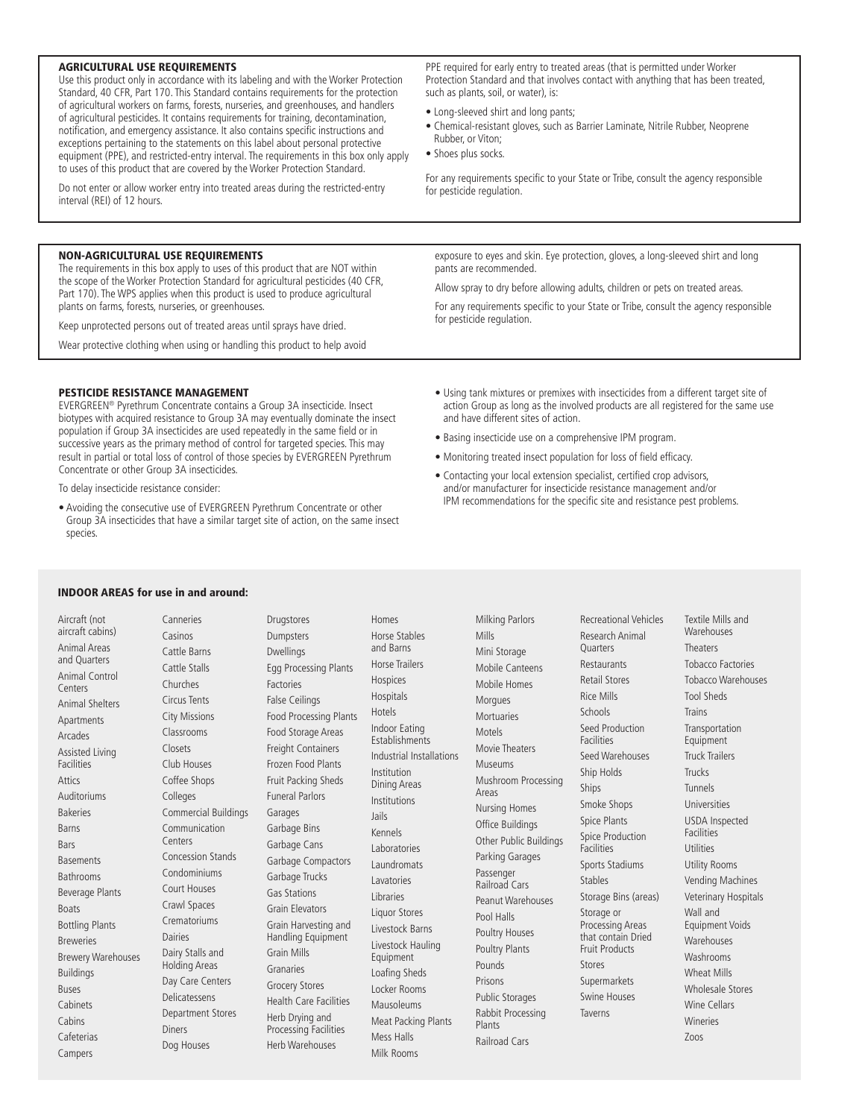#### AGRICULTURAL USE REQUIREMENTS

Use this product only in accordance with its labeling and with the Worker Protection Standard, 40 CFR, Part 170. This Standard contains requirements for the protection of agricultural workers on farms, forests, nurseries, and greenhouses, and handlers of agricultural pesticides. It contains requirements for training, decontamination, notification, and emergency assistance. It also contains specific instructions and exceptions pertaining to the statements on this label about personal protective equipment (PPE), and restricted-entry interval. The requirements in this box only apply to uses of this product that are covered by the Worker Protection Standard.

Do not enter or allow worker entry into treated areas during the restricted-entry interval (REI) of 12 hours.

# NON-AGRICULTURAL USE REQUIREMENTS

The requirements in this box apply to uses of this product that are NOT within the scope of the Worker Protection Standard for agricultural pesticides (40 CFR, Part 170). The WPS applies when this product is used to produce agricultural plants on farms, forests, nurseries, or greenhouses.

Keep unprotected persons out of treated areas until sprays have dried.

Wear protective clothing when using or handling this product to help avoid

PESTICIDE RESISTANCE MANAGEMENT

EVERGREEN® Pyrethrum Concentrate contains a Group 3A insecticide. Insect biotypes with acquired resistance to Group 3A may eventually dominate the insect population if Group 3A insecticides are used repeatedly in the same field or in successive years as the primary method of control for targeted species. This may result in partial or total loss of control of those species by EVERGREEN Pyrethrum Concentrate or other Group 3A insecticides.

To delay insecticide resistance consider:

• Avoiding the consecutive use of EVERGREEN Pyrethrum Concentrate or other Group 3A insecticides that have a similar target site of action, on the same insect species.

PPE required for early entry to treated areas (that is permitted under Worker Protection Standard and that involves contact with anything that has been treated, such as plants, soil, or water), is:

- Long-sleeved shirt and long pants;
- Chemical-resistant gloves, such as Barrier Laminate, Nitrile Rubber, Neoprene Rubber, or Viton;
- Shoes plus socks.

For any requirements specific to your State or Tribe, consult the agency responsible for pesticide regulation.

exposure to eyes and skin. Eye protection, gloves, a long-sleeved shirt and long pants are recommended.

Allow spray to dry before allowing adults, children or pets on treated areas.

For any requirements specific to your State or Tribe, consult the agency responsible for pesticide regulation.

- Using tank mixtures or premixes with insecticides from a different target site of action Group as long as the involved products are all registered for the same use and have different sites of action.
- Basing insecticide use on a comprehensive IPM program.
- Monitoring treated insect population for loss of field efficacy.
- Contacting your local extension specialist, certified crop advisors, and/or manufacturer for insecticide resistance management and/or IPM recommendations for the specific site and resistance pest problems.

#### INDOOR AREAS for use in and around:

| Aircraft (not<br><b>Milking Parlors</b><br><b>Recreational Vehicles</b><br>Canneries<br>Drugstores<br>Homes<br>aircraft cabins)<br>Casinos<br>Horse Stables<br>Mills<br>Research Animal<br>Dumpsters<br>Animal Areas<br>and Barns<br><b>Ouarters</b><br>Cattle Barns<br><b>Dwellings</b><br>Mini Storage<br>and Quarters<br><b>Horse Trailers</b><br>Restaurants<br>Cattle Stalls<br>Egg Processing Plants<br>Mobile Canteens<br>Animal Control<br><b>Retail Stores</b><br>Hospices<br>Mobile Homes<br>Churches<br><b>Factories</b><br>Centers<br><b>Rice Mills</b><br>Hospitals<br>Circus Tents<br><b>False Ceilings</b><br>Morques<br><b>Animal Shelters</b><br><b>Hotels</b><br>Schools<br><b>City Missions</b><br><b>Food Processing Plants</b><br><b>Mortuaries</b><br>Apartments<br>Seed Production<br>Indoor Eating<br>Classrooms<br>Food Storage Areas<br>Motels<br>Arcades<br>Establishments<br><b>Facilities</b><br>Freight Containers<br>Movie Theaters<br>Closets<br>Assisted Livina<br>Industrial Installations<br>Seed Warehouses<br>Frozen Food Plants<br>Club Houses<br><b>Facilities</b><br>Museums<br>Institution<br>Ship Holds<br>Attics<br>Coffee Shops<br>Fruit Packing Sheds<br>Mushroom Processing<br>Dining Areas<br>Ships<br>Areas<br>Auditoriums<br><b>Funeral Parlors</b><br>Colleges<br>Institutions<br>Smoke Shops<br>Nursing Homes<br><b>Bakeries</b><br>Commercial Buildings<br>Garages<br>Jails<br><b>Spice Plants</b><br>Office Buildings<br>Barns<br>Communication<br>Garbage Bins<br>Kennels<br>Spice Production<br>Other Public Buildings<br>Centers<br>Garbage Cans<br><b>Bars</b><br>Laboratories<br><b>Facilities</b><br>Concession Stands<br>Parking Garages<br>Garbage Compactors<br><b>Basements</b> |                                                                                                                                                                                                                                                                                                                                                                                                                                                                                                                       |
|------------------------------------------------------------------------------------------------------------------------------------------------------------------------------------------------------------------------------------------------------------------------------------------------------------------------------------------------------------------------------------------------------------------------------------------------------------------------------------------------------------------------------------------------------------------------------------------------------------------------------------------------------------------------------------------------------------------------------------------------------------------------------------------------------------------------------------------------------------------------------------------------------------------------------------------------------------------------------------------------------------------------------------------------------------------------------------------------------------------------------------------------------------------------------------------------------------------------------------------------------------------------------------------------------------------------------------------------------------------------------------------------------------------------------------------------------------------------------------------------------------------------------------------------------------------------------------------------------------------------------------------------------------------------------------------------------------------------------------------------|-----------------------------------------------------------------------------------------------------------------------------------------------------------------------------------------------------------------------------------------------------------------------------------------------------------------------------------------------------------------------------------------------------------------------------------------------------------------------------------------------------------------------|
| Laundromats<br>Sports Stadiums<br>Condominiums<br>Passenger<br>Bathrooms<br>Garbage Trucks<br><b>Stables</b><br>Lavatories<br><b>Railroad Cars</b><br>Court Houses<br><b>Gas Stations</b><br>Beverage Plants<br>Libraries<br>Storage Bins (areas)<br>Peanut Warehouses<br>Crawl Spaces<br><b>Grain Elevators</b><br><b>Boats</b><br>Liquor Stores<br>Storage or<br>Pool Halls<br>Crematoriums<br><b>Bottling Plants</b><br>Processing Areas<br>Grain Harvesting and<br>Livestock Barns<br>Poultry Houses<br><b>Dairies</b><br>Handling Equipment<br>that contain Dried<br><b>Breweries</b><br>Livestock Hauling<br><b>Poultry Plants</b><br><b>Fruit Products</b><br>Dairy Stalls and<br><b>Grain Mills</b><br><b>Brewery Warehouses</b><br>Equipment<br>Pounds<br><b>Holding Areas</b><br>Stores<br>Granaries<br><b>Buildings</b><br>Loafing Sheds<br>Day Care Centers<br>Prisons<br>Supermarkets<br>Grocery Stores<br>Locker Rooms<br><b>Buses</b><br>Swine Houses<br>Delicatessens<br><b>Public Storages</b><br><b>Health Care Facilities</b><br>Cabinets<br>Mausoleums<br>Rabbit Processing<br>Taverns<br>Department Stores<br>Herb Drying and<br>Cabins<br>Meat Packing Plants<br>Plants<br><b>Diners</b><br>Processing Facilities<br>Mess Halls<br>Cafeterias<br>Railroad Cars<br>Herb Warehouses<br>Dog Houses<br>Milk Rooms<br>Campers                                                                                                                                                                                                                                                                                                                                                                                                 | Textile Mills and<br>Warehouses<br>Theaters<br><b>Tobacco Factories</b><br>Tobacco Warehouses<br>Tool Sheds<br><b>Trains</b><br>Transportation<br>Equipment<br><b>Truck Trailers</b><br>Trucks<br>Tunnels<br>Universities<br><b>USDA</b> Inspected<br><b>Facilities</b><br><b>Utilities</b><br><b>Utility Rooms</b><br>Vending Machines<br>Veterinary Hospitals<br>Wall and<br><b>Equipment Voids</b><br>Warehouses<br>Washrooms<br><b>Wheat Mills</b><br>Wholesale Stores<br><b>Wine Cellars</b><br>Wineries<br>Zoos |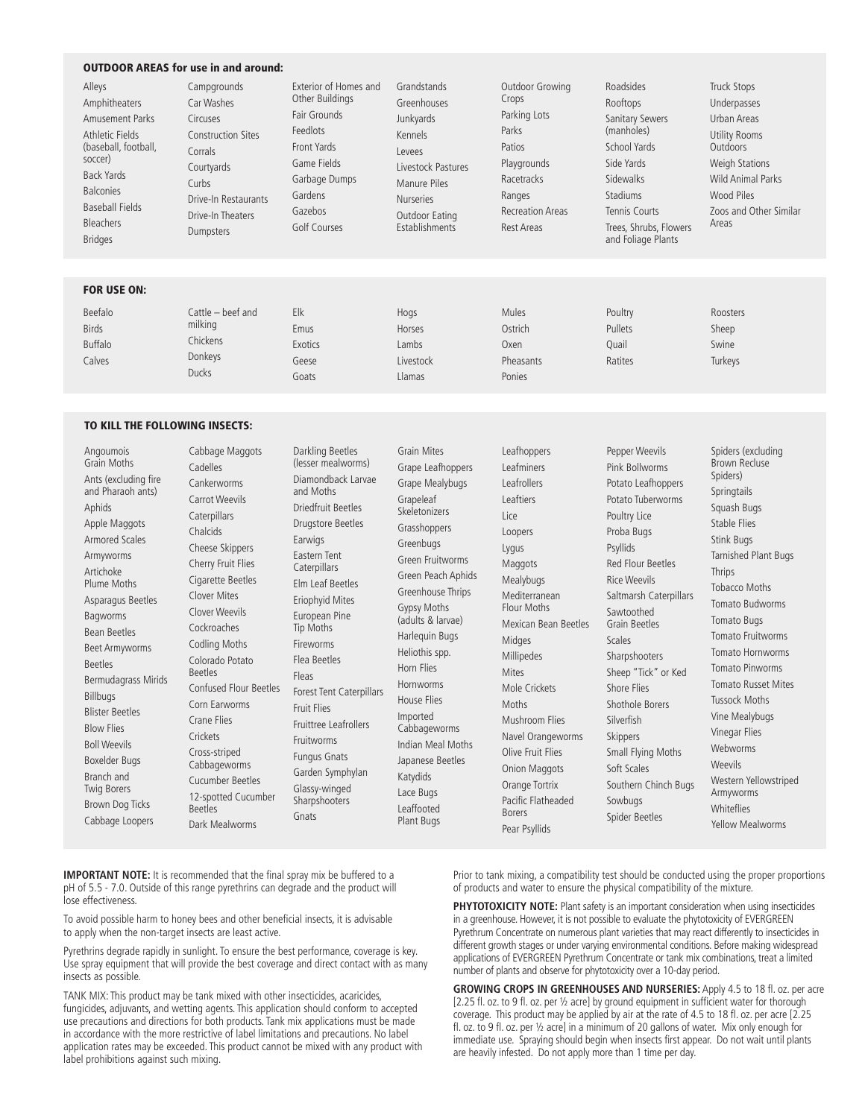### OUTDOOR AREAS for use in and around:

| Alleys<br>Amphitheaters<br>Amusement Parks<br>Athletic Fields<br>(baseball, football,<br>soccer)<br>Back Yards<br><b>Balconies</b><br>Baseball Fields<br><b>Bleachers</b><br><b>Bridges</b> | Campgrounds<br>Car Washes<br>Circuses<br><b>Construction Sites</b><br>Corrals<br>Courtyards<br>Curbs<br>Drive-In Restaurants<br>Drive-In Theaters<br>Dumpsters | <b>Exterior of Homes and</b><br>Other Buildings<br>Fair Grounds<br>Feedlots<br>Front Yards<br>Game Fields<br>Garbage Dumps<br>Gardens<br>Gazebos<br>Golf Courses | Grandstands<br>Greenhouses<br>Junkyards<br>Kennels<br>Levees<br>Livestock Pastures<br>Manure Piles<br><b>Nurseries</b><br>Outdoor Eating<br>Establishments | Outdoor Growing<br>Crops<br>Parking Lots<br>Parks<br>Patios<br>Playgrounds<br>Racetracks<br>Ranges<br><b>Recreation Areas</b><br><b>Rest Areas</b> | Roadsides<br>Rooftops<br>Sanitary Sewers<br>(manholes)<br>School Yards<br>Side Yards<br>Sidewalks<br>Stadiums<br>Tennis Courts<br>Trees. Shrubs. Flowers<br>and Foliage Plants | Truck Stops<br>Underpasses<br>Urban Areas<br>Utility Rooms<br>Outdoors<br>Weigh Stations<br><b>Wild Animal Parks</b><br>Wood Piles<br>Zoos and Other Similar<br>Areas |
|---------------------------------------------------------------------------------------------------------------------------------------------------------------------------------------------|----------------------------------------------------------------------------------------------------------------------------------------------------------------|------------------------------------------------------------------------------------------------------------------------------------------------------------------|------------------------------------------------------------------------------------------------------------------------------------------------------------|----------------------------------------------------------------------------------------------------------------------------------------------------|--------------------------------------------------------------------------------------------------------------------------------------------------------------------------------|-----------------------------------------------------------------------------------------------------------------------------------------------------------------------|
|                                                                                                                                                                                             |                                                                                                                                                                |                                                                                                                                                                  |                                                                                                                                                            |                                                                                                                                                    |                                                                                                                                                                                |                                                                                                                                                                       |
| <b>EOP LICE ON-</b>                                                                                                                                                                         |                                                                                                                                                                |                                                                                                                                                                  |                                                                                                                                                            |                                                                                                                                                    |                                                                                                                                                                                |                                                                                                                                                                       |

#### FOR USE ON:

| Beefalo        | Cattle – beef and | Elk     | Hogs      | Mules     | Poultry | Roosters |
|----------------|-------------------|---------|-----------|-----------|---------|----------|
| <b>Birds</b>   | milking           | Emus    | Horses    | Ostrich   | Pullets | Sheep    |
| <b>Buffalo</b> | Chickens          | Exotics | Lambs     | Oxen      | Ouail   | Swine    |
| Calves         | Donkeys           | Geese   | Livestock | Pheasants | Ratites | Turkeys  |
|                | <b>Ducks</b>      | Goats   | Llamas    | Ponies    |         |          |

#### TO KILL THE FOLLOWING INSECTS:

| Angoumois<br><b>Grain Moths</b><br>Ants (excluding fire<br>and Pharaoh ants)<br>Aphids<br>Apple Maggots<br>Armored Scales<br>Armyworms<br>Artichoke<br>Plume Moths<br>Asparagus Beetles<br>Bagworms<br><b>Bean Beetles</b><br><b>Beet Armyworms</b><br><b>Beetles</b><br>Bermudagrass Mirids<br>Billbugs<br><b>Blister Beetles</b><br><b>Blow Flies</b><br><b>Boll Weevils</b><br>Boxelder Bugs<br>Branch and<br><b>Twig Borers</b><br>Brown Dog Ticks<br>Cabbage Loopers | Cabbage Maggots<br>Cadelles<br>Cankerworms<br><b>Carrot Weevils</b><br>Caterpillars<br>Chalcids<br>Cheese Skippers<br>Cherry Fruit Flies<br>Cigarette Beetles<br>Clover Mites<br>Clover Weevils<br>Cockroaches<br>Codling Moths<br>Colorado Potato<br><b>Beetles</b><br>Confused Flour Beetles<br>Corn Earworms<br>Crane Flies<br>Crickets<br>Cross-striped<br>Cabbageworms<br><b>Cucumber Beetles</b><br>12-spotted Cucumber<br><b>Beetles</b><br>Dark Mealworms | Darkling Beetles<br>(lesser mealworms)<br>Diamondback Larvae<br>and Moths<br>Driedfruit Beetles<br><b>Drugstore Beetles</b><br>Earwigs<br><b>Eastern Tent</b><br>Caterpillars<br>Elm Leaf Beetles<br>Eriophyid Mites<br>European Pine<br><b>Tip Moths</b><br>Fireworms<br>Flea Beetles<br>Fleas<br>Forest Tent Caterpillars<br>Fruit Flies<br><b>Fruittree Leafrollers</b><br>Fruitworms<br><b>Fungus Gnats</b><br>Garden Symphylan<br>Glassy-winged<br>Sharpshooters<br>Gnats | <b>Grain Mites</b><br>Grape Leafhoppers<br>Grape Mealybugs<br>Grapeleaf<br>Skeletonizers<br>Grasshoppers<br>Greenbugs<br>Green Fruitworms<br>Green Peach Aphids<br>Greenhouse Thrips<br><b>Gypsy Moths</b><br>(adults & larvae)<br>Harleguin Bugs<br>Heliothis spp.<br>Horn Flies<br>Hornworms<br>House Flies<br>Imported<br>Cabbageworms<br>Indian Meal Moths<br>Japanese Beetles<br>Katydids<br>Lace Bugs<br>Leaffooted<br>Plant Bugs | Leafhoppers<br>Leafminers<br>Leafrollers<br>Leaftiers<br>Lice<br>Loopers<br>Lygus<br>Maggots<br>Mealybugs<br>Mediterranean<br>Flour Moths<br>Mexican Bean Beetles<br>Midges<br>Millipedes<br><b>Mites</b><br>Mole Crickets<br>Moths<br>Mushroom Flies<br>Navel Orangeworms<br>Olive Fruit Flies<br>Onion Maggots<br>Orange Tortrix<br>Pacific Flatheaded<br><b>Borers</b><br>Pear Psyllids | Pepper Weevils<br>Pink Bollworms<br>Potato Leafhoppers<br>Potato Tuberworms<br>Poultry Lice<br>Proba Bugs<br>Psyllids<br>Red Flour Beetles<br><b>Rice Weevils</b><br>Saltmarsh Caterpillars<br>Sawtoothed<br>Grain Beetles<br>Scales<br>Sharpshooters<br>Sheep "Tick" or Ked<br>Shore Flies<br>Shothole Borers<br>Silverfish<br>Skippers<br>Small Flying Moths<br>Soft Scales<br>Southern Chinch Bugs<br>Sowbugs<br>Spider Beetles | Spiders (excluding<br>Brown Recluse<br>Spiders)<br>Springtails<br>Squash Bugs<br>Stable Flies<br><b>Stink Bugs</b><br>Tarnished Plant Bugs<br><b>Thrips</b><br><b>Tobacco Moths</b><br>Tomato Budworms<br>Tomato Bugs<br>Tomato Fruitworms<br>Tomato Hornworms<br>Tomato Pinworms<br><b>Tomato Russet Mites</b><br><b>Tussock Moths</b><br>Vine Mealybugs<br>Vinegar Flies<br>Webworms<br>Weevils<br>Western Yellowstriped<br>Armyworms<br>Whiteflies<br><b>Yellow Mealworms</b> |
|---------------------------------------------------------------------------------------------------------------------------------------------------------------------------------------------------------------------------------------------------------------------------------------------------------------------------------------------------------------------------------------------------------------------------------------------------------------------------|-------------------------------------------------------------------------------------------------------------------------------------------------------------------------------------------------------------------------------------------------------------------------------------------------------------------------------------------------------------------------------------------------------------------------------------------------------------------|--------------------------------------------------------------------------------------------------------------------------------------------------------------------------------------------------------------------------------------------------------------------------------------------------------------------------------------------------------------------------------------------------------------------------------------------------------------------------------|-----------------------------------------------------------------------------------------------------------------------------------------------------------------------------------------------------------------------------------------------------------------------------------------------------------------------------------------------------------------------------------------------------------------------------------------|--------------------------------------------------------------------------------------------------------------------------------------------------------------------------------------------------------------------------------------------------------------------------------------------------------------------------------------------------------------------------------------------|------------------------------------------------------------------------------------------------------------------------------------------------------------------------------------------------------------------------------------------------------------------------------------------------------------------------------------------------------------------------------------------------------------------------------------|----------------------------------------------------------------------------------------------------------------------------------------------------------------------------------------------------------------------------------------------------------------------------------------------------------------------------------------------------------------------------------------------------------------------------------------------------------------------------------|
|---------------------------------------------------------------------------------------------------------------------------------------------------------------------------------------------------------------------------------------------------------------------------------------------------------------------------------------------------------------------------------------------------------------------------------------------------------------------------|-------------------------------------------------------------------------------------------------------------------------------------------------------------------------------------------------------------------------------------------------------------------------------------------------------------------------------------------------------------------------------------------------------------------------------------------------------------------|--------------------------------------------------------------------------------------------------------------------------------------------------------------------------------------------------------------------------------------------------------------------------------------------------------------------------------------------------------------------------------------------------------------------------------------------------------------------------------|-----------------------------------------------------------------------------------------------------------------------------------------------------------------------------------------------------------------------------------------------------------------------------------------------------------------------------------------------------------------------------------------------------------------------------------------|--------------------------------------------------------------------------------------------------------------------------------------------------------------------------------------------------------------------------------------------------------------------------------------------------------------------------------------------------------------------------------------------|------------------------------------------------------------------------------------------------------------------------------------------------------------------------------------------------------------------------------------------------------------------------------------------------------------------------------------------------------------------------------------------------------------------------------------|----------------------------------------------------------------------------------------------------------------------------------------------------------------------------------------------------------------------------------------------------------------------------------------------------------------------------------------------------------------------------------------------------------------------------------------------------------------------------------|

**IMPORTANT NOTE:** It is recommended that the final spray mix be buffered to a pH of 5.5 - 7.0. Outside of this range pyrethrins can degrade and the product will lose effectiveness.

To avoid possible harm to honey bees and other beneficial insects, it is advisable to apply when the non-target insects are least active.

Pyrethrins degrade rapidly in sunlight. To ensure the best performance, coverage is key. Use spray equipment that will provide the best coverage and direct contact with as many insects as possible.

TANK MIX: This product may be tank mixed with other insecticides, acaricides, fungicides, adjuvants, and wetting agents. This application should conform to accepted use precautions and directions for both products. Tank mix applications must be made in accordance with the more restrictive of label limitations and precautions. No label application rates may be exceeded. This product cannot be mixed with any product with label prohibitions against such mixing.

Prior to tank mixing, a compatibility test should be conducted using the proper proportions of products and water to ensure the physical compatibility of the mixture.

**PHYTOTOXICITY NOTE:** Plant safety is an important consideration when using insecticides in a greenhouse. However, it is not possible to evaluate the phytotoxicity of EVERGREEN Pyrethrum Concentrate on numerous plant varieties that may react differently to insecticides in different growth stages or under varying environmental conditions. Before making widespread applications of EVERGREEN Pyrethrum Concentrate or tank mix combinations, treat a limited number of plants and observe for phytotoxicity over a 10-day period.

**GROWING CROPS IN GREENHOUSES AND NURSERIES:** Apply 4.5 to 18 fl. oz. per acre [2.25 fl. oz. to 9 fl. oz. per ½ acre] by ground equipment in sufficient water for thorough coverage. This product may be applied by air at the rate of 4.5 to 18 fl. oz. per acre [2.25 fl. oz. to 9 fl. oz. per ½ acre] in a minimum of 20 gallons of water. Mix only enough for immediate use. Spraying should begin when insects first appear. Do not wait until plants are heavily infested. Do not apply more than 1 time per day.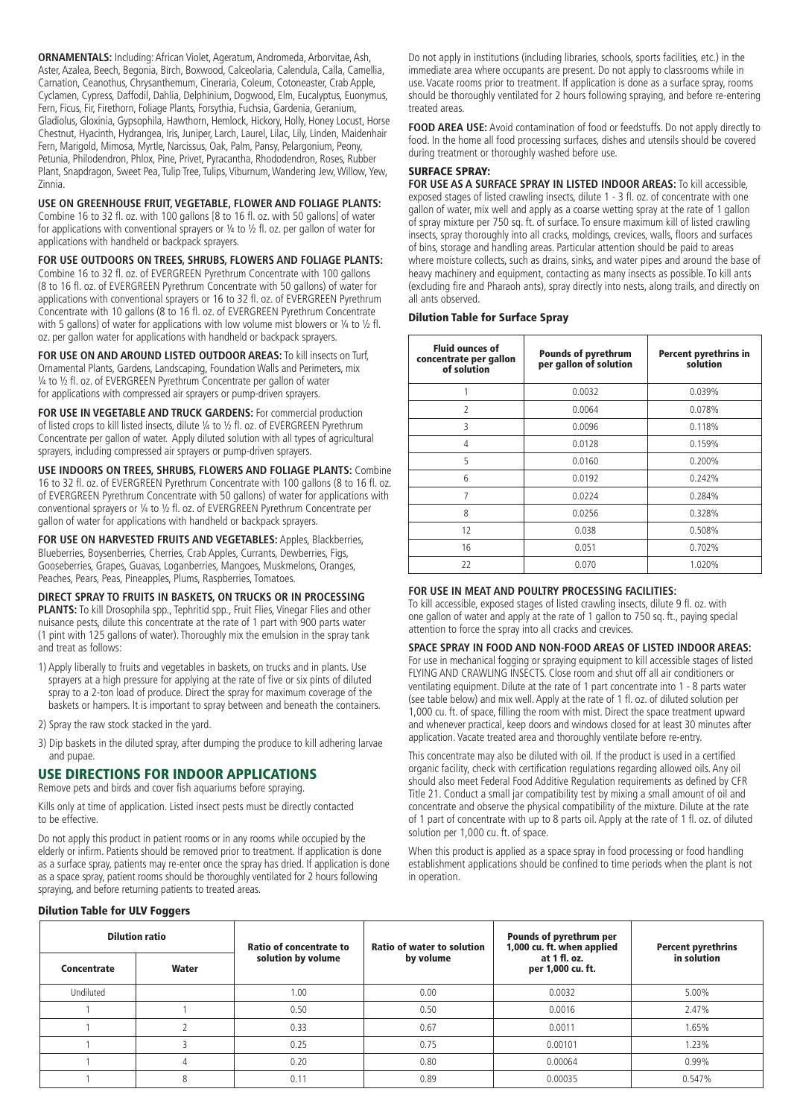**ORNAMENTALS:** Including: African Violet, Ageratum, Andromeda, Arborvitae, Ash, Aster, Azalea, Beech, Begonia, Birch, Boxwood, Calceolaria, Calendula, Calla, Camellia, Carnation, Ceanothus, Chrysanthemum, Cineraria, Coleum, Cotoneaster, Crab Apple, Cyclamen, Cypress, Daffodil, Dahlia, Delphinium, Dogwood, Elm, Eucalyptus, Euonymus, Fern, Ficus, Fir, Firethorn, Foliage Plants, Forsythia, Fuchsia, Gardenia, Geranium, Gladiolus, Gloxinia, Gypsophila, Hawthorn, Hemlock, Hickory, Holly, Honey Locust, Horse Chestnut, Hyacinth, Hydrangea, Iris, Juniper, Larch, Laurel, Lilac, Lily, Linden, Maidenhair Fern, Marigold, Mimosa, Myrtle, Narcissus, Oak, Palm, Pansy, Pelargonium, Peony, Petunia, Philodendron, Phlox, Pine, Privet, Pyracantha, Rhododendron, Roses, Rubber Plant, Snapdragon, Sweet Pea, Tulip Tree, Tulips, Viburnum, Wandering Jew, Willow, Yew, Zinnia.

## **USE ON GREENHOUSE FRUIT, VEGETABLE, FLOWER AND FOLIAGE PLANTS:**

Combine 16 to 32 fl. oz. with 100 gallons [8 to 16 fl. oz. with 50 gallons] of water for applications with conventional sprayers or 1/4 to 1/2 fl. oz. per gallon of water for applications with handheld or backpack sprayers.

**FOR USE OUTDOORS ON TREES, SHRUBS, FLOWERS AND FOLIAGE PLANTS:** Combine 16 to 32 fl. oz. of EVERGREEN Pyrethrum Concentrate with 100 gallons (8 to 16 fl. oz. of EVERGREEN Pyrethrum Concentrate with 50 gallons) of water for applications with conventional sprayers or 16 to 32 fl. oz. of EVERGREEN Pyrethrum Concentrate with 10 gallons (8 to 16 fl. oz. of EVERGREEN Pyrethrum Concentrate with 5 gallons) of water for applications with low volume mist blowers or  $\frac{1}{4}$  to  $\frac{1}{2}$  fl. oz. per gallon water for applications with handheld or backpack sprayers.

**FOR USE ON AND AROUND LISTED OUTDOOR AREAS:** To kill insects on Turf, Ornamental Plants, Gardens, Landscaping, Foundation Walls and Perimeters, mix ¼ to ½ fl. oz. of EVERGREEN Pyrethrum Concentrate per gallon of water for applications with compressed air sprayers or pump-driven sprayers.

**FOR USE IN VEGETABLE AND TRUCK GARDENS:** For commercial production of listed crops to kill listed insects, dilute 1/4 to 1/2 fl. oz. of EVERGREEN Pyrethrum Concentrate per gallon of water. Apply diluted solution with all types of agricultural sprayers, including compressed air sprayers or pump-driven sprayers.

## **USE INDOORS ON TREES, SHRUBS, FLOWERS AND FOLIAGE PLANTS:** Combine

16 to 32 fl. oz. of EVERGREEN Pyrethrum Concentrate with 100 gallons (8 to 16 fl. oz. of EVERGREEN Pyrethrum Concentrate with 50 gallons) of water for applications with conventional sprayers or ¼ to ½ fl. oz. of EVERGREEN Pyrethrum Concentrate per gallon of water for applications with handheld or backpack sprayers.

**FOR USE ON HARVESTED FRUITS AND VEGETABLES:** Apples, Blackberries, Blueberries, Boysenberries, Cherries, Crab Apples, Currants, Dewberries, Figs, Gooseberries, Grapes, Guavas, Loganberries, Mangoes, Muskmelons, Oranges, Peaches, Pears, Peas, Pineapples, Plums, Raspberries, Tomatoes.

# **DIRECT SPRAY TO FRUITS IN BASKETS, ON TRUCKS OR IN PROCESSING**

**PLANTS:** To kill Drosophila spp., Tephritid spp., Fruit Flies, Vinegar Flies and other nuisance pests, dilute this concentrate at the rate of 1 part with 900 parts water (1 pint with 125 gallons of water). Thoroughly mix the emulsion in the spray tank and treat as follows:

- 1) Apply liberally to fruits and vegetables in baskets, on trucks and in plants. Use sprayers at a high pressure for applying at the rate of five or six pints of diluted spray to a 2-ton load of produce. Direct the spray for maximum coverage of the baskets or hampers. It is important to spray between and beneath the containers.
- 2) Spray the raw stock stacked in the yard.
- 3) Dip baskets in the diluted spray, after dumping the produce to kill adhering larvae and pupae.

# USE DIRECTIONS FOR INDOOR APPLICATIONS

Remove pets and birds and cover fish aquariums before spraying.

Kills only at time of application. Listed insect pests must be directly contacted to be effective.

Do not apply this product in patient rooms or in any rooms while occupied by the elderly or infirm. Patients should be removed prior to treatment. If application is done as a surface spray, patients may re-enter once the spray has dried. If application is done as a space spray, patient rooms should be thoroughly ventilated for 2 hours following spraying, and before returning patients to treated areas.

Do not apply in institutions (including libraries, schools, sports facilities, etc.) in the immediate area where occupants are present. Do not apply to classrooms while in use. Vacate rooms prior to treatment. If application is done as a surface spray, rooms should be thoroughly ventilated for 2 hours following spraying, and before re-entering treated areas.

**FOOD AREA USE:** Avoid contamination of food or feedstuffs. Do not apply directly to food. In the home all food processing surfaces, dishes and utensils should be covered during treatment or thoroughly washed before use.

#### SURFACE SPRAY:

**FOR USE AS A SURFACE SPRAY IN LISTED INDOOR AREAS:** To kill accessible, exposed stages of listed crawling insects, dilute 1 - 3 fl. oz. of concentrate with one gallon of water, mix well and apply as a coarse wetting spray at the rate of 1 gallon of spray mixture per 750 sq. ft. of surface. To ensure maximum kill of listed crawling insects, spray thoroughly into all cracks, moldings, crevices, walls, floors and surfaces of bins, storage and handling areas. Particular attention should be paid to areas where moisture collects, such as drains, sinks, and water pipes and around the base of heavy machinery and equipment, contacting as many insects as possible. To kill ants (excluding fire and Pharaoh ants), spray directly into nests, along trails, and directly on all ants observed.

#### Dilution Table for Surface Spray

| <b>Fluid ounces of</b><br>concentrate per gallon<br>of solution | <b>Pounds of pyrethrum</b><br>per gallon of solution | <b>Percent pyrethrins in</b><br>solution |  |
|-----------------------------------------------------------------|------------------------------------------------------|------------------------------------------|--|
| 1                                                               | 0.0032                                               | 0.039%                                   |  |
| $\overline{\mathcal{L}}$                                        | 0.0064                                               | 0.078%                                   |  |
| 3                                                               | 0.0096                                               | 0.118%                                   |  |
| 4                                                               | 0.0128                                               | 0.159%                                   |  |
| 5                                                               | 0.0160                                               | 0.200%                                   |  |
| 6                                                               | 0.0192                                               | 0.242%                                   |  |
| 7                                                               | 0.0224                                               | 0.284%                                   |  |
| 8                                                               | 0.0256                                               | 0.328%                                   |  |
| 12                                                              | 0.038                                                | 0.508%                                   |  |
| 16                                                              | 0.051                                                | 0.702%                                   |  |
| 22                                                              | 0.070                                                | 1.020%                                   |  |

## **FOR USE IN MEAT AND POULTRY PROCESSING FACILITIES:**

To kill accessible, exposed stages of listed crawling insects, dilute 9 fl. oz. with one gallon of water and apply at the rate of 1 gallon to 750 sq. ft., paying special attention to force the spray into all cracks and crevices.

**SPACE SPRAY IN FOOD AND NON-FOOD AREAS OF LISTED INDOOR AREAS:** For use in mechanical fogging or spraying equipment to kill accessible stages of listed FLYING AND CRAWLING INSECTS. Close room and shut off all air conditioners or ventilating equipment. Dilute at the rate of 1 part concentrate into 1 - 8 parts water (see table below) and mix well. Apply at the rate of 1 fl. oz. of diluted solution per 1,000 cu. ft. of space, filling the room with mist. Direct the space treatment upward and whenever practical, keep doors and windows closed for at least 30 minutes after application. Vacate treated area and thoroughly ventilate before re-entry.

This concentrate may also be diluted with oil. If the product is used in a certified organic facility, check with certification regulations regarding allowed oils. Any oil should also meet Federal Food Additive Regulation requirements as defined by CFR Title 21. Conduct a small jar compatibility test by mixing a small amount of oil and concentrate and observe the physical compatibility of the mixture. Dilute at the rate of 1 part of concentrate with up to 8 parts oil. Apply at the rate of 1 fl. oz. of diluted solution per 1,000 cu. ft. of space.

When this product is applied as a space spray in food processing or food handling establishment applications should be confined to time periods when the plant is not in operation.

### Dilution Table for ULV Foggers

|                       | --    |                                |                                   |                                                       |                           |
|-----------------------|-------|--------------------------------|-----------------------------------|-------------------------------------------------------|---------------------------|
| <b>Dilution ratio</b> |       | <b>Ratio of concentrate to</b> | <b>Ratio of water to solution</b> | Pounds of pyrethrum per<br>1,000 cu. ft. when applied | <b>Percent pyrethrins</b> |
| Concentrate           | Water | solution by volume             | by volume                         | at 1 fl. oz.<br>per 1,000 cu. ft.                     | in solution               |
| Undiluted             |       | 1.00                           | 0.00                              | 0.0032                                                | 5.00%                     |
|                       |       | 0.50                           | 0.50                              | 0.0016                                                | 2.47%                     |
|                       |       | 0.33                           | 0.67                              | 0.0011                                                | 1.65%                     |
|                       |       | 0.25                           | 0.75                              | 0.00101                                               | 1.23%                     |
|                       |       | 0.20                           | 0.80                              | 0.00064                                               | 0.99%                     |
|                       | 8     | 0.11                           | 0.89                              | 0.00035                                               | 0.547%                    |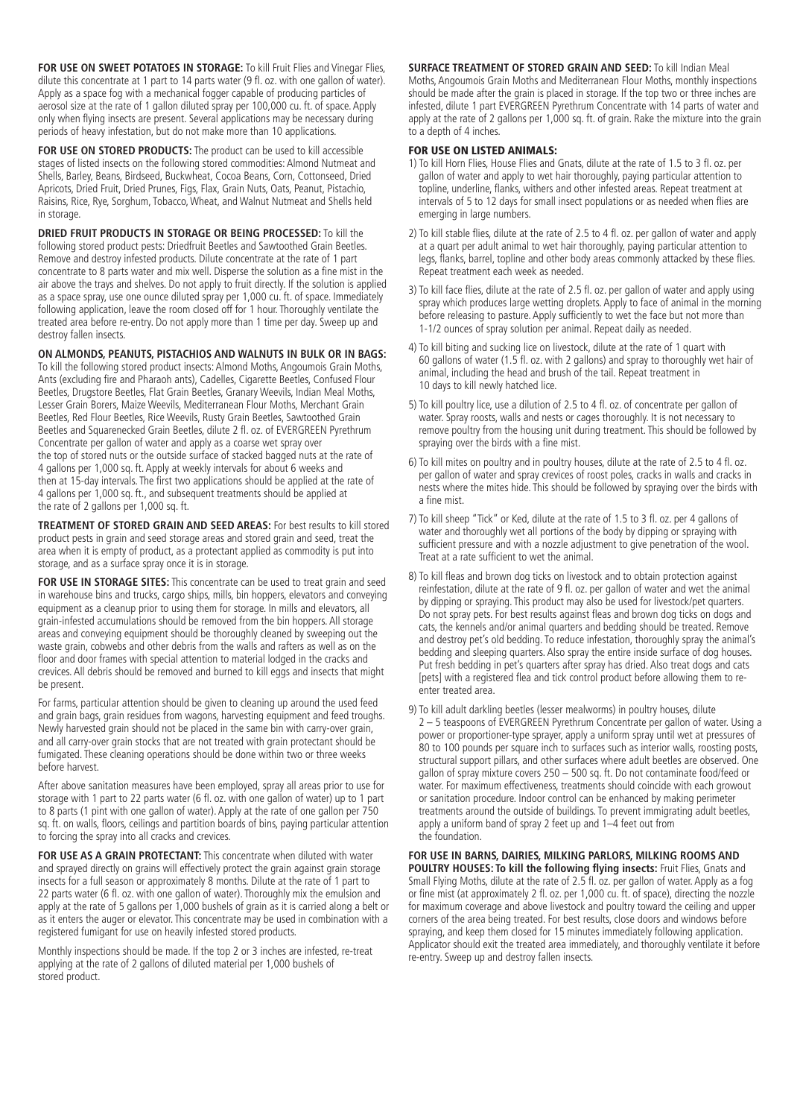**FOR USE ON SWEET POTATOES IN STORAGE:** To kill Fruit Flies and Vinegar Flies, dilute this concentrate at 1 part to 14 parts water (9 fl. oz. with one gallon of water). Apply as a space fog with a mechanical fogger capable of producing particles of aerosol size at the rate of 1 gallon diluted spray per 100,000 cu. ft. of space. Apply only when flying insects are present. Several applications may be necessary during periods of heavy infestation, but do not make more than 10 applications.

**FOR USE ON STORED PRODUCTS:** The product can be used to kill accessible stages of listed insects on the following stored commodities: Almond Nutmeat and Shells, Barley, Beans, Birdseed, Buckwheat, Cocoa Beans, Corn, Cottonseed, Dried Apricots, Dried Fruit, Dried Prunes, Figs, Flax, Grain Nuts, Oats, Peanut, Pistachio, Raisins, Rice, Rye, Sorghum, Tobacco, Wheat, and Walnut Nutmeat and Shells held in storage.

**DRIED FRUIT PRODUCTS IN STORAGE OR BEING PROCESSED:** To kill the following stored product pests: Driedfruit Beetles and Sawtoothed Grain Beetles. Remove and destroy infested products. Dilute concentrate at the rate of 1 part concentrate to 8 parts water and mix well. Disperse the solution as a fine mist in the air above the trays and shelves. Do not apply to fruit directly. If the solution is applied as a space spray, use one ounce diluted spray per 1,000 cu. ft. of space. Immediately following application, leave the room closed off for 1 hour. Thoroughly ventilate the treated area before re-entry. Do not apply more than 1 time per day. Sweep up and destroy fallen insects.

#### **ON ALMONDS, PEANUTS, PISTACHIOS AND WALNUTS IN BULK OR IN BAGS:**

To kill the following stored product insects: Almond Moths, Angoumois Grain Moths, Ants (excluding fire and Pharaoh ants), Cadelles, Cigarette Beetles, Confused Flour Beetles, Drugstore Beetles, Flat Grain Beetles, Granary Weevils, Indian Meal Moths, Lesser Grain Borers, Maize Weevils, Mediterranean Flour Moths, Merchant Grain Beetles, Red Flour Beetles, Rice Weevils, Rusty Grain Beetles, Sawtoothed Grain Beetles and Squarenecked Grain Beetles, dilute 2 fl. oz. of EVERGREEN Pyrethrum Concentrate per gallon of water and apply as a coarse wet spray over the top of stored nuts or the outside surface of stacked bagged nuts at the rate of 4 gallons per 1,000 sq. ft. Apply at weekly intervals for about 6 weeks and then at 15-day intervals. The first two applications should be applied at the rate of 4 gallons per 1,000 sq. ft., and subsequent treatments should be applied at the rate of 2 gallons per 1,000 sq. ft.

**TREATMENT OF STORED GRAIN AND SEED AREAS:** For best results to kill stored product pests in grain and seed storage areas and stored grain and seed, treat the area when it is empty of product, as a protectant applied as commodity is put into storage, and as a surface spray once it is in storage.

**FOR USE IN STORAGE SITES:** This concentrate can be used to treat grain and seed in warehouse bins and trucks, cargo ships, mills, bin hoppers, elevators and conveying equipment as a cleanup prior to using them for storage. In mills and elevators, all grain-infested accumulations should be removed from the bin hoppers. All storage areas and conveying equipment should be thoroughly cleaned by sweeping out the waste grain, cobwebs and other debris from the walls and rafters as well as on the floor and door frames with special attention to material lodged in the cracks and crevices. All debris should be removed and burned to kill eggs and insects that might be present.

For farms, particular attention should be given to cleaning up around the used feed and grain bags, grain residues from wagons, harvesting equipment and feed troughs. Newly harvested grain should not be placed in the same bin with carry-over grain, and all carry-over grain stocks that are not treated with grain protectant should be fumigated. These cleaning operations should be done within two or three weeks before harvest.

After above sanitation measures have been employed, spray all areas prior to use for storage with 1 part to 22 parts water (6 fl. oz. with one gallon of water) up to 1 part to 8 parts (1 pint with one gallon of water). Apply at the rate of one gallon per 750 sq. ft. on walls, floors, ceilings and partition boards of bins, paying particular attention to forcing the spray into all cracks and crevices.

FOR USE AS A GRAIN PROTECTANT: This concentrate when diluted with water and sprayed directly on grains will effectively protect the grain against grain storage insects for a full season or approximately 8 months. Dilute at the rate of 1 part to 22 parts water (6 fl. oz. with one gallon of water). Thoroughly mix the emulsion and apply at the rate of 5 gallons per 1,000 bushels of grain as it is carried along a belt or as it enters the auger or elevator. This concentrate may be used in combination with a registered fumigant for use on heavily infested stored products.

Monthly inspections should be made. If the top 2 or 3 inches are infested, re-treat applying at the rate of 2 gallons of diluted material per 1,000 bushels of stored product.

#### **SURFACE TREATMENT OF STORED GRAIN AND SEED:** To kill Indian Meal

Moths, Angoumois Grain Moths and Mediterranean Flour Moths, monthly inspections should be made after the grain is placed in storage. If the top two or three inches are infested, dilute 1 part EVERGREEN Pyrethrum Concentrate with 14 parts of water and apply at the rate of 2 gallons per 1,000 sq. ft. of grain. Rake the mixture into the grain to a depth of 4 inches.

#### FOR USE ON LISTED ANIMALS:

- 1) To kill Horn Flies, House Flies and Gnats, dilute at the rate of 1.5 to 3 fl. oz. per gallon of water and apply to wet hair thoroughly, paying particular attention to topline, underline, flanks, withers and other infested areas. Repeat treatment at intervals of 5 to 12 days for small insect populations or as needed when flies are emerging in large numbers.
- 2) To kill stable flies, dilute at the rate of 2.5 to 4 fl. oz. per gallon of water and apply at a quart per adult animal to wet hair thoroughly, paying particular attention to legs, flanks, barrel, topline and other body areas commonly attacked by these flies. Repeat treatment each week as needed.
- 3) To kill face flies, dilute at the rate of 2.5 fl. oz. per gallon of water and apply using spray which produces large wetting droplets. Apply to face of animal in the morning before releasing to pasture. Apply sufficiently to wet the face but not more than 1-1/2 ounces of spray solution per animal. Repeat daily as needed.
- 4) To kill biting and sucking lice on livestock, dilute at the rate of 1 quart with 60 gallons of water (1.5 fl. oz. with 2 gallons) and spray to thoroughly wet hair of animal, including the head and brush of the tail. Repeat treatment in 10 days to kill newly hatched lice.
- 5) To kill poultry lice, use a dilution of 2.5 to 4 fl. oz. of concentrate per gallon of water. Spray roosts, walls and nests or cages thoroughly. It is not necessary to remove poultry from the housing unit during treatment. This should be followed by spraying over the birds with a fine mist.
- 6) To kill mites on poultry and in poultry houses, dilute at the rate of 2.5 to 4 fl. oz. per gallon of water and spray crevices of roost poles, cracks in walls and cracks in nests where the mites hide. This should be followed by spraying over the birds with a fine mist.
- 7) To kill sheep "Tick" or Ked, dilute at the rate of 1.5 to 3 fl. oz. per 4 gallons of water and thoroughly wet all portions of the body by dipping or spraying with sufficient pressure and with a nozzle adjustment to give penetration of the wool. Treat at a rate sufficient to wet the animal.
- 8) To kill fleas and brown dog ticks on livestock and to obtain protection against reinfestation, dilute at the rate of 9 fl. oz. per gallon of water and wet the animal by dipping or spraying. This product may also be used for livestock/pet quarters. Do not spray pets. For best results against fleas and brown dog ticks on dogs and cats, the kennels and/or animal quarters and bedding should be treated. Remove and destroy pet's old bedding. To reduce infestation, thoroughly spray the animal's bedding and sleeping quarters. Also spray the entire inside surface of dog houses. Put fresh bedding in pet's quarters after spray has dried. Also treat dogs and cats [pets] with a registered flea and tick control product before allowing them to reenter treated area.
- 9) To kill adult darkling beetles (lesser mealworms) in poultry houses, dilute 2 – 5 teaspoons of EVERGREEN Pyrethrum Concentrate per gallon of water. Using a power or proportioner-type sprayer, apply a uniform spray until wet at pressures of 80 to 100 pounds per square inch to surfaces such as interior walls, roosting posts, structural support pillars, and other surfaces where adult beetles are observed. One gallon of spray mixture covers 250 – 500 sq. ft. Do not contaminate food/feed or water. For maximum effectiveness, treatments should coincide with each growout or sanitation procedure. Indoor control can be enhanced by making perimeter treatments around the outside of buildings. To prevent immigrating adult beetles, apply a uniform band of spray 2 feet up and 1–4 feet out from the foundation.

**FOR USE IN BARNS, DAIRIES, MILKING PARLORS, MILKING ROOMS AND POULTRY HOUSES: To kill the following flying insects:** Fruit Flies, Gnats and Small Flying Moths, dilute at the rate of 2.5 fl. oz. per gallon of water. Apply as a fog or fine mist (at approximately 2 fl. oz. per 1,000 cu. ft. of space), directing the nozzle for maximum coverage and above livestock and poultry toward the ceiling and upper corners of the area being treated. For best results, close doors and windows before spraying, and keep them closed for 15 minutes immediately following application. Applicator should exit the treated area immediately, and thoroughly ventilate it before re-entry. Sweep up and destroy fallen insects.